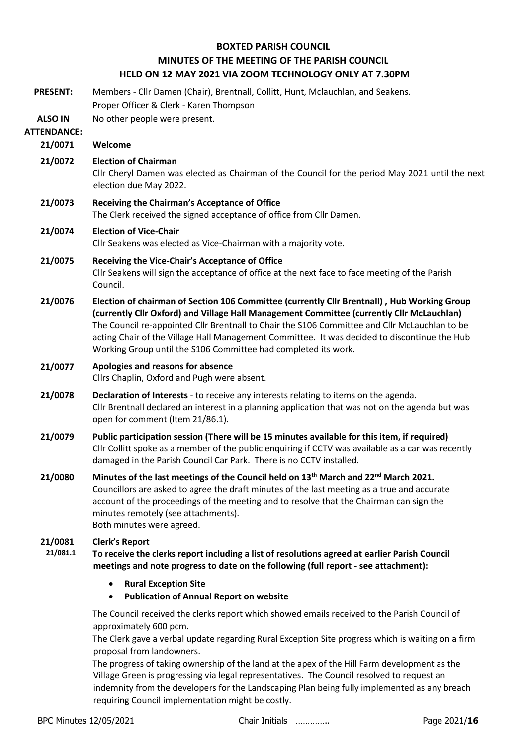### **BOXTED PARISH COUNCIL MINUTES OF THE MEETING OF THE PARISH COUNCIL HELD ON 12 MAY 2021 VIA ZOOM TECHNOLOGY ONLY AT 7.30PM**

| <b>PRESENT:</b>                      | Members - Cllr Damen (Chair), Brentnall, Collitt, Hunt, Mclauchlan, and Seakens.<br>Proper Officer & Clerk - Karen Thompson                                                                                                                                                                                                                                                                                                                                 |  |  |
|--------------------------------------|-------------------------------------------------------------------------------------------------------------------------------------------------------------------------------------------------------------------------------------------------------------------------------------------------------------------------------------------------------------------------------------------------------------------------------------------------------------|--|--|
| <b>ALSO IN</b><br><b>ATTENDANCE:</b> | No other people were present.                                                                                                                                                                                                                                                                                                                                                                                                                               |  |  |
| 21/0071                              | Welcome                                                                                                                                                                                                                                                                                                                                                                                                                                                     |  |  |
| 21/0072                              | <b>Election of Chairman</b><br>Cllr Cheryl Damen was elected as Chairman of the Council for the period May 2021 until the next<br>election due May 2022.                                                                                                                                                                                                                                                                                                    |  |  |
| 21/0073                              | <b>Receiving the Chairman's Acceptance of Office</b><br>The Clerk received the signed acceptance of office from Cllr Damen.                                                                                                                                                                                                                                                                                                                                 |  |  |
| 21/0074                              | <b>Election of Vice-Chair</b><br>Cllr Seakens was elected as Vice-Chairman with a majority vote.                                                                                                                                                                                                                                                                                                                                                            |  |  |
| 21/0075                              | Receiving the Vice-Chair's Acceptance of Office<br>Cllr Seakens will sign the acceptance of office at the next face to face meeting of the Parish<br>Council.                                                                                                                                                                                                                                                                                               |  |  |
| 21/0076                              | Election of chairman of Section 106 Committee (currently Cllr Brentnall), Hub Working Group<br>(currently Cllr Oxford) and Village Hall Management Committee (currently Cllr McLauchlan)<br>The Council re-appointed Cllr Brentnall to Chair the S106 Committee and Cllr McLauchlan to be<br>acting Chair of the Village Hall Management Committee. It was decided to discontinue the Hub<br>Working Group until the S106 Committee had completed its work. |  |  |
| 21/0077                              | Apologies and reasons for absence<br>Cllrs Chaplin, Oxford and Pugh were absent.                                                                                                                                                                                                                                                                                                                                                                            |  |  |
| 21/0078                              | Declaration of Interests - to receive any interests relating to items on the agenda.<br>Cllr Brentnall declared an interest in a planning application that was not on the agenda but was<br>open for comment (Item 21/86.1).                                                                                                                                                                                                                                |  |  |
| 21/0079                              | Public participation session (There will be 15 minutes available for this item, if required)<br>Cllr Collitt spoke as a member of the public enquiring if CCTV was available as a car was recently<br>damaged in the Parish Council Car Park. There is no CCTV installed.                                                                                                                                                                                   |  |  |
| 21/0080                              | Minutes of the last meetings of the Council held on 13 <sup>th</sup> March and 22 <sup>nd</sup> March 2021.<br>Councillors are asked to agree the draft minutes of the last meeting as a true and accurate<br>account of the proceedings of the meeting and to resolve that the Chairman can sign the<br>minutes remotely (see attachments).<br>Both minutes were agreed.                                                                                   |  |  |
| 21/0081<br>21/081.1                  | <b>Clerk's Report</b><br>To receive the clerks report including a list of resolutions agreed at earlier Parish Council<br>meetings and note progress to date on the following (full report - see attachment):                                                                                                                                                                                                                                               |  |  |
|                                      | <b>Rural Exception Site</b><br><b>Publication of Annual Report on website</b>                                                                                                                                                                                                                                                                                                                                                                               |  |  |
|                                      | The Council received the clerks report which showed emails received to the Parish Council of<br>approximately 600 pcm.                                                                                                                                                                                                                                                                                                                                      |  |  |

The Clerk gave a verbal update regarding Rural Exception Site progress which is waiting on a firm proposal from landowners.

The progress of taking ownership of the land at the apex of the Hill Farm development as the Village Green is progressing via legal representatives. The Council resolved to request an indemnity from the developers for the Landscaping Plan being fully implemented as any breach requiring Council implementation might be costly.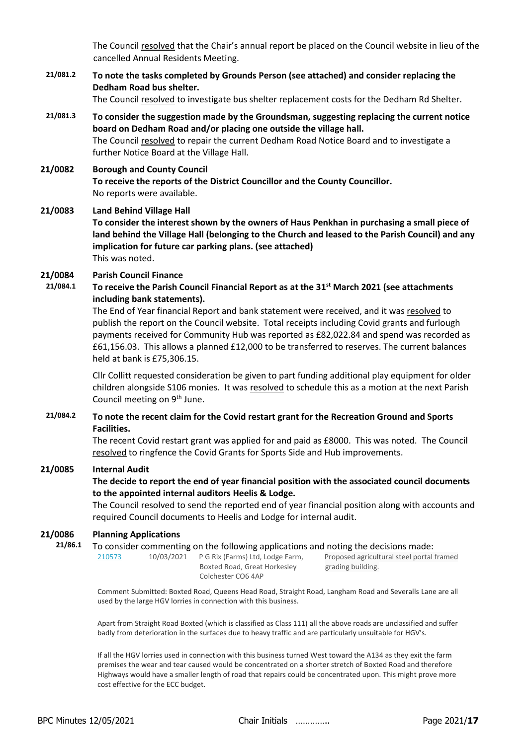The Council resolved that the Chair's annual report be placed on the Council website in lieu of the cancelled Annual Residents Meeting.

**21/081.2 To note the tasks completed by Grounds Person (see attached) and consider replacing the Dedham Road bus shelter.**

The Council resolved to investigate bus shelter replacement costs for the Dedham Rd Shelter.

- **21/081.3 To consider the suggestion made by the Groundsman, suggesting replacing the current notice board on Dedham Road and/or placing one outside the village hall.** The Council resolved to repair the current Dedham Road Notice Board and to investigate a further Notice Board at the Village Hall.
- **21/0082 Borough and County Council To receive the reports of the District Councillor and the County Councillor.** No reports were available.

#### **21/0083 Land Behind Village Hall**

**To consider the interest shown by the owners of Haus Penkhan in purchasing a small piece of land behind the Village Hall (belonging to the Church and leased to the Parish Council) and any implication for future car parking plans. (see attached)**  This was noted.

# **21/0084 Parish Council Finance**

**21/084.1 To receive the Parish Council Financial Report as at the 31st March 2021 (see attachments including bank statements).**

> The End of Year financial Report and bank statement were received, and it was resolved to publish the report on the Council website. Total receipts including Covid grants and furlough payments received for Community Hub was reported as £82,022.84 and spend was recorded as £61,156.03. This allows a planned £12,000 to be transferred to reserves. The current balances held at bank is £75,306.15.

> Cllr Collitt requested consideration be given to part funding additional play equipment for older children alongside S106 monies. It was resolved to schedule this as a motion at the next Parish Council meeting on 9<sup>th</sup> June.

**21/084.2 To note the recent claim for the Covid restart grant for the Recreation Ground and Sports Facilities.** 

> The recent Covid restart grant was applied for and paid as £8000. This was noted. The Council resolved to ringfence the Covid Grants for Sports Side and Hub improvements.

### **21/0085 Internal Audit**

### **The decide to report the end of year financial position with the associated council documents to the appointed internal auditors Heelis & Lodge.**

The Council resolved to send the reported end of year financial position along with accounts and required Council documents to Heelis and Lodge for internal audit.

### **21/0086 Planning Applications**

**21/86.1** To consider commenting on the following applications and noting the decisions made: [210573](https://www.colchester.gov.uk/planning-app-details/?id=37423f92-af81-eb11-a812-000d3addc639) 10/03/2021 P G Rix (Farms) Ltd, Lodge Farm,

Boxted Road, Great Horkesley Colchester CO6 4AP

Proposed agricultural steel portal framed grading building.

Comment Submitted: Boxted Road, Queens Head Road, Straight Road, Langham Road and Severalls Lane are all used by the large HGV lorries in connection with this business.

Apart from Straight Road Boxted (which is classified as Class 111) all the above roads are unclassified and suffer badly from deterioration in the surfaces due to heavy traffic and are particularly unsuitable for HGV's.

If all the HGV lorries used in connection with this business turned West toward the A134 as they exit the farm premises the wear and tear caused would be concentrated on a shorter stretch of Boxted Road and therefore Highways would have a smaller length of road that repairs could be concentrated upon. This might prove more cost effective for the ECC budget.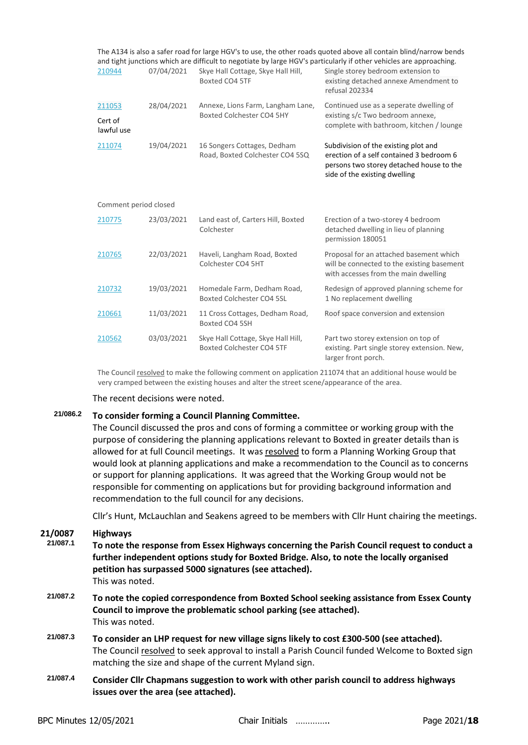|                       |            |                                                                | The A134 is also a safer road for large HGV's to use, the other roads quoted above all contain blind/narrow bends<br>and tight junctions which are difficult to negotiate by large HGV's particularly if other vehicles are approaching. |  |
|-----------------------|------------|----------------------------------------------------------------|------------------------------------------------------------------------------------------------------------------------------------------------------------------------------------------------------------------------------------------|--|
| 210944                | 07/04/2021 | Skye Hall Cottage, Skye Hall Hill,<br>Boxted CO4 5TF           | Single storey bedroom extension to<br>existing detached annexe Amendment to<br>refusal 202334                                                                                                                                            |  |
| 211053                | 28/04/2021 | Annexe, Lions Farm, Langham Lane,<br>Boxted Colchester CO4 5HY | Continued use as a seperate dwelling of                                                                                                                                                                                                  |  |
| Cert of<br>lawful use |            |                                                                | existing s/c Two bedroom annexe,<br>complete with bathroom, kitchen / lounge                                                                                                                                                             |  |
| 211074                | 19/04/2021 | 16 Songers Cottages, Dedham<br>Road, Boxted Colchester CO4 5SQ | Subdivision of the existing plot and<br>erection of a self contained 3 bedroom 6<br>persons two storey detached house to the<br>side of the existing dwelling                                                                            |  |
| Comment period closed |            |                                                                |                                                                                                                                                                                                                                          |  |
| 210775                | 23/03/2021 | Land east of, Carters Hill, Boxted<br>Colchester               | Erection of a two-storey 4 bedroom<br>detached dwelling in lieu of planning<br>permission 180051                                                                                                                                         |  |
| 210765                | 22/03/2021 | Haveli, Langham Road, Boxted<br>Colchester CO4 5HT             | Proposal for an attached basement which<br>will be connected to the existing basement<br>with accesses from the main dwelling                                                                                                            |  |
| 210732                | 19/03/2021 | Homedale Farm, Dedham Road,<br>Boxted Colchester CO4 5SL       | Redesign of approved planning scheme for<br>1 No replacement dwelling                                                                                                                                                                    |  |
| 210661                | 11/03/2021 | 11 Cross Cottages, Dedham Road,<br>Boxted CO4 5SH              | Roof space conversion and extension                                                                                                                                                                                                      |  |
| 210562                | 03/03/2021 | Skye Hall Cottage, Skye Hall Hill,                             | Part two storey extension on top of                                                                                                                                                                                                      |  |

The Council resolved to make the following comment on application 211074 that an additional house would be very cramped between the existing houses and alter the street scene/appearance of the area.

The recent decisions were noted.

### **21/086.2 To consider forming a Council Planning Committee.**

The Council discussed the pros and cons of forming a committee or working group with the purpose of considering the planning applications relevant to Boxted in greater details than is allowed for at full Council meetings. It was resolved to form a Planning Working Group that would look at planning applications and make a recommendation to the Council as to concerns or support for planning applications. It was agreed that the Working Group would not be responsible for commenting on applications but for providing background information and recommendation to the full council for any decisions.

Cllr's Hunt, McLauchlan and Seakens agreed to be members with Cllr Hunt chairing the meetings.

## **21/0087 Highways**

- **21/087.1 To note the response from Essex Highways concerning the Parish Council request to conduct a further independent options study for Boxted Bridge. Also, to note the locally organised petition has surpassed 5000 signatures (see attached).** This was noted.
- **21/087.2 To note the copied correspondence from Boxted School seeking assistance from Essex County Council to improve the problematic school parking (see attached).** This was noted.
- **21/087.3 To consider an LHP request for new village signs likely to cost £300-500 (see attached).** The Council resolved to seek approval to install a Parish Council funded Welcome to Boxted sign matching the size and shape of the current Myland sign.
- **21/087.4 Consider Cllr Chapmans suggestion to work with other parish council to address highways issues over the area (see attached).**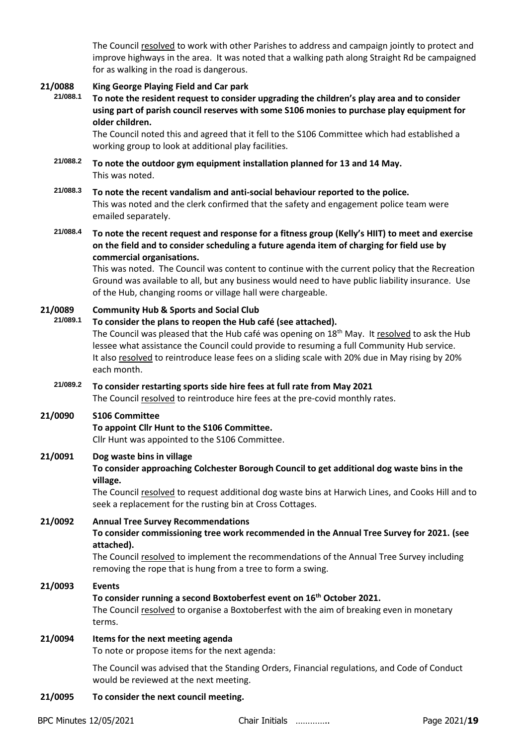The Council resolved to work with other Parishes to address and campaign jointly to protect and improve highways in the area. It was noted that a walking path along Straight Rd be campaigned for as walking in the road is dangerous.

# **21/0088 King George Playing Field and Car park**

**21/088.1 To note the resident request to consider upgrading the children's play area and to consider using part of parish council reserves with some S106 monies to purchase play equipment for older children.**

The Council noted this and agreed that it fell to the S106 Committee which had established a working group to look at additional play facilities.

- **21/088.2 To note the outdoor gym equipment installation planned for 13 and 14 May.** This was noted.
- **21/088.3 To note the recent vandalism and anti-social behaviour reported to the police.** This was noted and the clerk confirmed that the safety and engagement police team were emailed separately.
- **21/088.4 To note the recent request and response for a fitness group (Kelly's HIIT) to meet and exercise on the field and to consider scheduling a future agenda item of charging for field use by commercial organisations.**

This was noted. The Council was content to continue with the current policy that the Recreation Ground was available to all, but any business would need to have public liability insurance. Use of the Hub, changing rooms or village hall were chargeable.

### **21/0089 Community Hub & Sports and Social Club**

**21/089.1 To consider the plans to reopen the Hub café (see attached).** 

The Council was pleased that the Hub café was opening on 18<sup>th</sup> May. It resolved to ask the Hub lessee what assistance the Council could provide to resuming a full Community Hub service. It also resolved to reintroduce lease fees on a sliding scale with 20% due in May rising by 20% each month.

**21/089.2 To consider restarting sports side hire fees at full rate from May 2021** The Council resolved to reintroduce hire fees at the pre-covid monthly rates.

### **21/0090 S106 Committee**

**To appoint Cllr Hunt to the S106 Committee.**

Cllr Hunt was appointed to the S106 Committee.

### **21/0091 Dog waste bins in village**

**To consider approaching Colchester Borough Council to get additional dog waste bins in the village.**

The Council resolved to request additional dog waste bins at Harwich Lines, and Cooks Hill and to seek a replacement for the rusting bin at Cross Cottages.

### **21/0092 Annual Tree Survey Recommendations**

**To consider commissioning tree work recommended in the Annual Tree Survey for 2021. (see attached).**

The Council resolved to implement the recommendations of the Annual Tree Survey including removing the rope that is hung from a tree to form a swing.

### **21/0093 Events**

### **To consider running a second Boxtoberfest event on 16th October 2021.**

The Council resolved to organise a Boxtoberfest with the aim of breaking even in monetary terms.

### **21/0094 Items for the next meeting agenda**

To note or propose items for the next agenda:

The Council was advised that the Standing Orders, Financial regulations, and Code of Conduct would be reviewed at the next meeting.

**21/0095 To consider the next council meeting.**